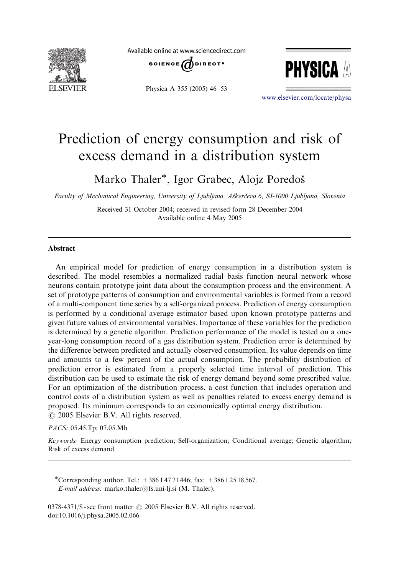

Available online at www.sciencedirect.com



Physica A 355 (2005) 46–53



<www.elsevier.com/locate/physa>

# Prediction of energy consumption and risk of excess demand in a distribution system

Marko Thaler<sup>\*</sup>, Igor Grabec, Alojz Poredoš

Faculty of Mechanical Engineering, University of Ljubljana, Askerčeva 6, SI-1000 Ljubljana, Slovenia

Received 31 October 2004; received in revised form 28 December 2004 Available online 4 May 2005

#### Abstract

An empirical model for prediction of energy consumption in a distribution system is described. The model resembles a normalized radial basis function neural network whose neurons contain prototype joint data about the consumption process and the environment. A set of prototype patterns of consumption and environmental variables is formed from a record of a multi-component time series by a self-organized process. Prediction of energy consumption is performed by a conditional average estimator based upon known prototype patterns and given future values of environmental variables. Importance of these variables for the prediction is determined by a genetic algorithm. Prediction performance of the model is tested on a oneyear-long consumption record of a gas distribution system. Prediction error is determined by the difference between predicted and actually observed consumption. Its value depends on time and amounts to a few percent of the actual consumption. The probability distribution of prediction error is estimated from a properly selected time interval of prediction. This distribution can be used to estimate the risk of energy demand beyond some prescribed value. For an optimization of the distribution process, a cost function that includes operation and control costs of a distribution system as well as penalties related to excess energy demand is proposed. Its minimum corresponds to an economically optimal energy distribution.  $\odot$  2005 Elsevier B.V. All rights reserved.

#### PACS: 05.45.Tp; 07.05.Mh

Keywords: Energy consumption prediction; Self-organization; Conditional average; Genetic algorithm; Risk of excess demand

\*Corresponding author. Tel.:  $+38614771446$ ; fax:  $+38612518567$ . E-mail address: marko.thaler@fs.uni-lj.si (M. Thaler).

 $0378-4371/\$ S - see front matter  $\odot$  2005 Elsevier B.V. All rights reserved. doi:10.1016/j.physa.2005.02.066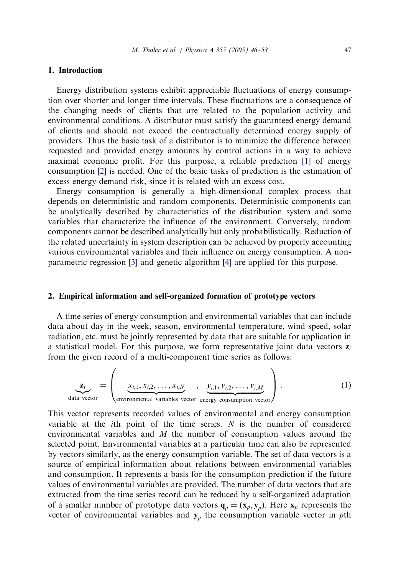### 1. Introduction

Energy distribution systems exhibit appreciable fluctuations of energy consumption over shorter and longer time intervals. These fluctuations are a consequence of the changing needs of clients that are related to the population activity and environmental conditions. A distributor must satisfy the guaranteed energy demand of clients and should not exceed the contractually determined energy supply of providers. Thus the basic task of a distributor is to minimize the difference between requested and provided energy amounts by control actions in a way to achieve maximal economic profit. For this purpose, a reliable prediction [\[1\]](#page--1-0) of energy consumption [\[2\]](#page--1-0) is needed. One of the basic tasks of prediction is the estimation of excess energy demand risk, since it is related with an excess cost.

Energy consumption is generally a high-dimensional complex process that depends on deterministic and random components. Deterministic components can be analytically described by characteristics of the distribution system and some variables that characterize the influence of the environment. Conversely, random components cannot be described analytically but only probabilistically. Reduction of the related uncertainty in system description can be achieved by properly accounting various environmental variables and their influence on energy consumption. A nonparametric regression [\[3\]](#page--1-0) and genetic algorithm [\[4\]](#page--1-0) are applied for this purpose.

### 2. Empirical information and self-organized formation of prototype vectors

A time series of energy consumption and environmental variables that can include data about day in the week, season, environmental temperature, wind speed, solar radiation, etc. must be jointly represented by data that are suitable for application in a statistical model. For this purpose, we form representative joint data vectors  $z_i$ from the given record of a multi-component time series as follows:

$$
\underline{\mathbf{z}_i} = \begin{pmatrix} \underline{x}_{i,1}, \underline{x}_{i,2}, \dots, \underline{x}_{i,N} & \underline{y}_{i,1}, \underline{y}_{i,2}, \dots, \underline{y}_{i,M} \\ \underline{x}_{i,1}, \underline{x}_{i,2}, \dots, \underline{x}_{i,N} & \underline{x}_{i,1}, \underline{y}_{i,2}, \dots, \underline{y}_{i,M} \end{pmatrix} . \tag{1}
$$

This vector represents recorded values of environmental and energy consumption variable at the *i*th point of the time series.  $N$  is the number of considered environmental variables and  $M$  the number of consumption values around the selected point. Environmental variables at a particular time can also be represented by vectors similarly, as the energy consumption variable. The set of data vectors is a source of empirical information about relations between environmental variables and consumption. It represents a basis for the consumption prediction if the future values of environmental variables are provided. The number of data vectors that are extracted from the time series record can be reduced by a self-organized adaptation of a smaller number of prototype data vectors  $\mathbf{q}_p = (\mathbf{x}_p, \mathbf{y}_p)$ . Here  $\mathbf{x}_p$  represents the vector of environmental variables and  $y_p$  the consumption variable vector in pth